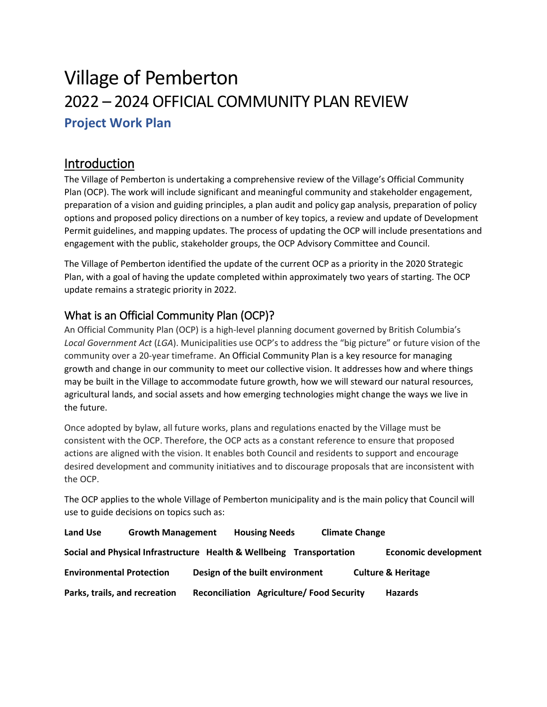# Village of Pemberton 2022 – 2024 OFFICIAL COMMUNITY PLAN REVIEW **Project Work Plan**

# Introduction

The Village of Pemberton is undertaking a comprehensive review of the Village's Official Community Plan (OCP). The work will include significant and meaningful community and stakeholder engagement, preparation of a vision and guiding principles, a plan audit and policy gap analysis, preparation of policy options and proposed policy directions on a number of key topics, a review and update of Development Permit guidelines, and mapping updates. The process of updating the OCP will include presentations and engagement with the public, stakeholder groups, the OCP Advisory Committee and Council.

The Village of Pemberton identified the update of the current OCP as a priority in the 2020 Strategic Plan, with a goal of having the update completed within approximately two years of starting. The OCP update remains a strategic priority in 2022.

### What is an Official Community Plan (OCP)?

An Official Community Plan (OCP) is a high-level planning document governed by British Columbia's *Local Government Act* (*LGA*). Municipalities use OCP's to address the "big picture" or future vision of the community over a 20-year timeframe. An Official Community Plan is a key resource for managing growth and change in our community to meet our collective vision. It addresses how and where things may be built in the Village to accommodate future growth, how we will steward our natural resources, agricultural lands, and social assets and how emerging technologies might change the ways we live in the future.

Once adopted by bylaw, all future works, plans and regulations enacted by the Village must be consistent with the OCP. Therefore, the OCP acts as a constant reference to ensure that proposed actions are aligned with the vision. It enables both Council and residents to support and encourage desired development and community initiatives and to discourage proposals that are inconsistent with the OCP.

The OCP applies to the whole Village of Pemberton municipality and is the main policy that Council will use to guide decisions on topics such as:

| Land Use                        | <b>Growth Management</b>                                             | <b>Housing Needs</b>                     | <b>Climate Change</b> |                               |
|---------------------------------|----------------------------------------------------------------------|------------------------------------------|-----------------------|-------------------------------|
|                                 | Social and Physical Infrastructure Health & Wellbeing Transportation |                                          |                       | <b>Economic development</b>   |
| <b>Environmental Protection</b> |                                                                      | Design of the built environment          |                       | <b>Culture &amp; Heritage</b> |
| Parks, trails, and recreation   |                                                                      | Reconciliation Agriculture/Food Security |                       | <b>Hazards</b>                |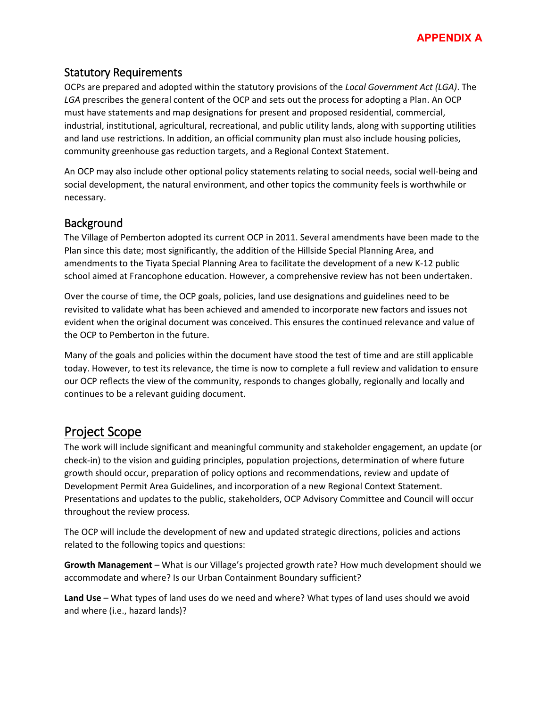

#### Statutory Requirements

OCPs are prepared and adopted within the statutory provisions of the *Local Government Act (LGA)*. The *LGA* prescribes the general content of the OCP and sets out the process for adopting a Plan. An OCP must have statements and map designations for present and proposed residential, commercial, industrial, institutional, agricultural, recreational, and public utility lands, along with supporting utilities and land use restrictions. In addition, an official community plan must also include housing policies, community greenhouse gas reduction targets, and a Regional Context Statement.

An OCP may also include other optional policy statements relating to social needs, social well-being and social development, the natural environment, and other topics the community feels is worthwhile or necessary.

#### **Background**

The Village of Pemberton adopted its current OCP in 2011. Several amendments have been made to the Plan since this date; most significantly, the addition of the Hillside Special Planning Area, and amendments to the Tiyata Special Planning Area to facilitate the development of a new K-12 public school aimed at Francophone education. However, a comprehensive review has not been undertaken.

Over the course of time, the OCP goals, policies, land use designations and guidelines need to be revisited to validate what has been achieved and amended to incorporate new factors and issues not evident when the original document was conceived. This ensures the continued relevance and value of the OCP to Pemberton in the future.

Many of the goals and policies within the document have stood the test of time and are still applicable today. However, to test its relevance, the time is now to complete a full review and validation to ensure our OCP reflects the view of the community, responds to changes globally, regionally and locally and continues to be a relevant guiding document.

#### Project Scope

The work will include significant and meaningful community and stakeholder engagement, an update (or check-in) to the vision and guiding principles, population projections, determination of where future growth should occur, preparation of policy options and recommendations, review and update of Development Permit Area Guidelines, and incorporation of a new Regional Context Statement. Presentations and updates to the public, stakeholders, OCP Advisory Committee and Council will occur throughout the review process.

The OCP will include the development of new and updated strategic directions, policies and actions related to the following topics and questions:

**Growth Management** – What is our Village's projected growth rate? How much development should we accommodate and where? Is our Urban Containment Boundary sufficient?

**Land Use** – What types of land uses do we need and where? What types of land uses should we avoid and where (i.e., hazard lands)?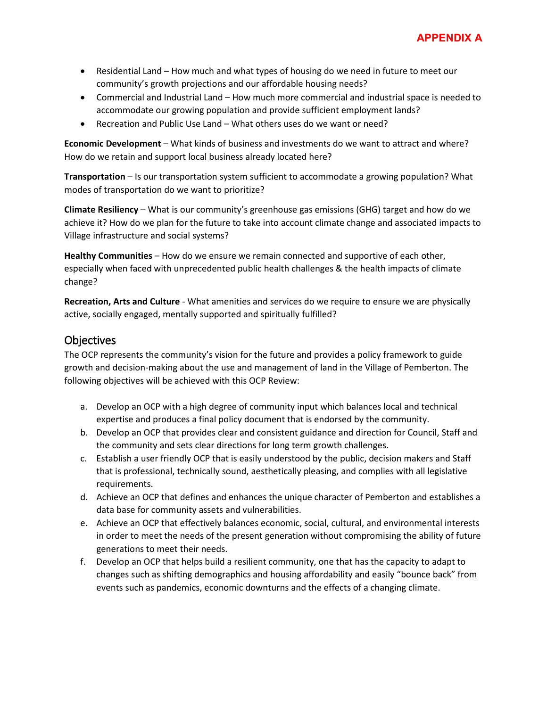- Residential Land How much and what types of housing do we need in future to meet our community's growth projections and our affordable housing needs?
- Commercial and Industrial Land How much more commercial and industrial space is needed to accommodate our growing population and provide sufficient employment lands?
- Recreation and Public Use Land What others uses do we want or need?

**Economic Development** – What kinds of business and investments do we want to attract and where? How do we retain and support local business already located here?

**Transportation** – Is our transportation system sufficient to accommodate a growing population? What modes of transportation do we want to prioritize?

**Climate Resiliency** – What is our community's greenhouse gas emissions (GHG) target and how do we achieve it? How do we plan for the future to take into account climate change and associated impacts to Village infrastructure and social systems?

**Healthy Communities** – How do we ensure we remain connected and supportive of each other, especially when faced with unprecedented public health challenges & the health impacts of climate change?

**Recreation, Arts and Culture** - What amenities and services do we require to ensure we are physically active, socially engaged, mentally supported and spiritually fulfilled?

#### **Objectives**

The OCP represents the community's vision for the future and provides a policy framework to guide growth and decision-making about the use and management of land in the Village of Pemberton. The following objectives will be achieved with this OCP Review:

- a. Develop an OCP with a high degree of community input which balances local and technical expertise and produces a final policy document that is endorsed by the community.
- b. Develop an OCP that provides clear and consistent guidance and direction for Council, Staff and the community and sets clear directions for long term growth challenges.
- c. Establish a user friendly OCP that is easily understood by the public, decision makers and Staff that is professional, technically sound, aesthetically pleasing, and complies with all legislative requirements.
- d. Achieve an OCP that defines and enhances the unique character of Pemberton and establishes a data base for community assets and vulnerabilities.
- e. Achieve an OCP that effectively balances economic, social, cultural, and environmental interests in order to meet the needs of the present generation without compromising the ability of future generations to meet their needs.
- f. Develop an OCP that helps build a resilient community, one that has the capacity to adapt to changes such as shifting demographics and housing affordability and easily "bounce back" from events such as pandemics, economic downturns and the effects of a changing climate.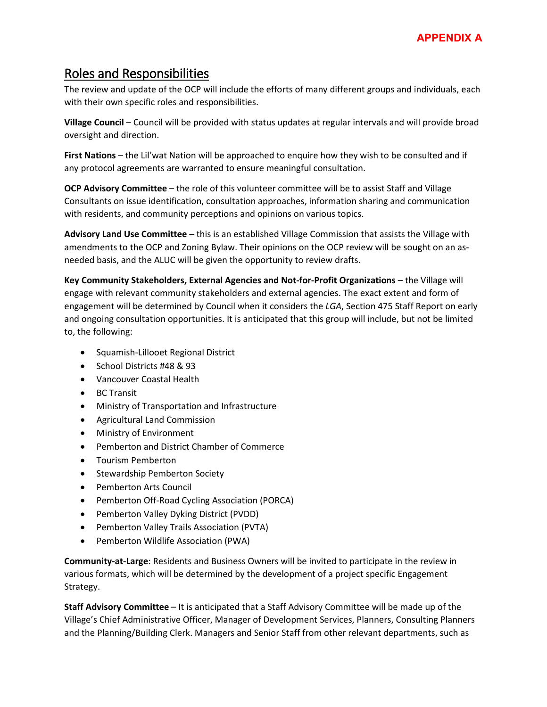# Roles and Responsibilities

The review and update of the OCP will include the efforts of many different groups and individuals, each with their own specific roles and responsibilities.

**Village Council** – Council will be provided with status updates at regular intervals and will provide broad oversight and direction.

**First Nations** – the Lil'wat Nation will be approached to enquire how they wish to be consulted and if any protocol agreements are warranted to ensure meaningful consultation.

**OCP Advisory Committee** – the role of this volunteer committee will be to assist Staff and Village Consultants on issue identification, consultation approaches, information sharing and communication with residents, and community perceptions and opinions on various topics.

**Advisory Land Use Committee** – this is an established Village Commission that assists the Village with amendments to the OCP and Zoning Bylaw. Their opinions on the OCP review will be sought on an asneeded basis, and the ALUC will be given the opportunity to review drafts.

**Key Community Stakeholders, External Agencies and Not-for-Profit Organizations** – the Village will engage with relevant community stakeholders and external agencies. The exact extent and form of engagement will be determined by Council when it considers the *LGA*, Section 475 Staff Report on early and ongoing consultation opportunities. It is anticipated that this group will include, but not be limited to, the following:

- Squamish-Lillooet Regional District
- School Districts #48 & 93
- Vancouver Coastal Health
- BC Transit
- Ministry of Transportation and Infrastructure
- Agricultural Land Commission
- Ministry of Environment
- Pemberton and District Chamber of Commerce
- Tourism Pemberton
- Stewardship Pemberton Society
- Pemberton Arts Council
- Pemberton Off-Road Cycling Association (PORCA)
- Pemberton Valley Dyking District (PVDD)
- Pemberton Valley Trails Association (PVTA)
- Pemberton Wildlife Association (PWA)

**Community-at-Large**: Residents and Business Owners will be invited to participate in the review in various formats, which will be determined by the development of a project specific Engagement Strategy.

**Staff Advisory Committee** – It is anticipated that a Staff Advisory Committee will be made up of the Village's Chief Administrative Officer, Manager of Development Services, Planners, Consulting Planners and the Planning/Building Clerk. Managers and Senior Staff from other relevant departments, such as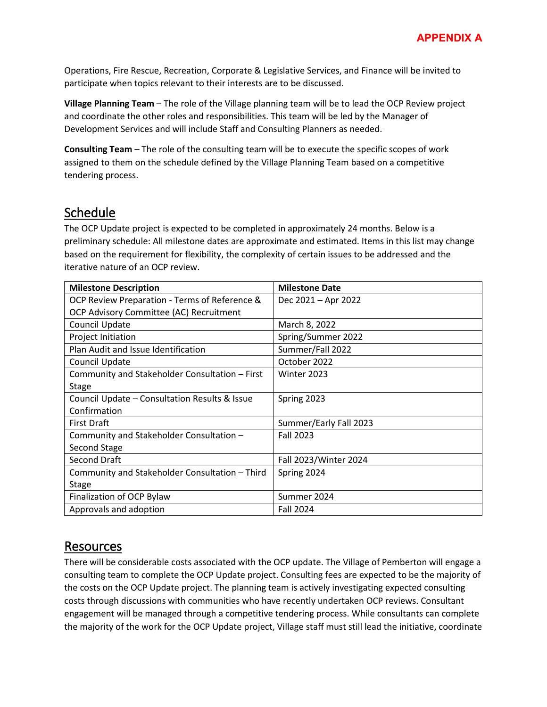Operations, Fire Rescue, Recreation, Corporate & Legislative Services, and Finance will be invited to participate when topics relevant to their interests are to be discussed.

**Village Planning Team** – The role of the Village planning team will be to lead the OCP Review project and coordinate the other roles and responsibilities. This team will be led by the Manager of Development Services and will include Staff and Consulting Planners as needed.

**Consulting Team** – The role of the consulting team will be to execute the specific scopes of work assigned to them on the schedule defined by the Village Planning Team based on a competitive tendering process.

## **Schedule**

The OCP Update project is expected to be completed in approximately 24 months. Below is a preliminary schedule: All milestone dates are approximate and estimated. Items in this list may change based on the requirement for flexibility, the complexity of certain issues to be addressed and the iterative nature of an OCP review.

| <b>Milestone Description</b>                   | <b>Milestone Date</b>  |  |  |
|------------------------------------------------|------------------------|--|--|
| OCP Review Preparation - Terms of Reference &  | Dec 2021 - Apr 2022    |  |  |
| OCP Advisory Committee (AC) Recruitment        |                        |  |  |
| Council Update                                 | March 8, 2022          |  |  |
| Project Initiation                             | Spring/Summer 2022     |  |  |
| Plan Audit and Issue Identification            | Summer/Fall 2022       |  |  |
| Council Update                                 | October 2022           |  |  |
| Community and Stakeholder Consultation - First | Winter 2023            |  |  |
| <b>Stage</b>                                   |                        |  |  |
| Council Update - Consultation Results & Issue  | Spring 2023            |  |  |
| Confirmation                                   |                        |  |  |
| <b>First Draft</b>                             | Summer/Early Fall 2023 |  |  |
| Community and Stakeholder Consultation -       | <b>Fall 2023</b>       |  |  |
| Second Stage                                   |                        |  |  |
| <b>Second Draft</b>                            | Fall 2023/Winter 2024  |  |  |
| Community and Stakeholder Consultation - Third | Spring 2024            |  |  |
| <b>Stage</b>                                   |                        |  |  |
| Finalization of OCP Bylaw                      | Summer 2024            |  |  |
| Approvals and adoption                         | <b>Fall 2024</b>       |  |  |

## Resources

There will be considerable costs associated with the OCP update. The Village of Pemberton will engage a consulting team to complete the OCP Update project. Consulting fees are expected to be the majority of the costs on the OCP Update project. The planning team is actively investigating expected consulting costs through discussions with communities who have recently undertaken OCP reviews. Consultant engagement will be managed through a competitive tendering process. While consultants can complete the majority of the work for the OCP Update project, Village staff must still lead the initiative, coordinate